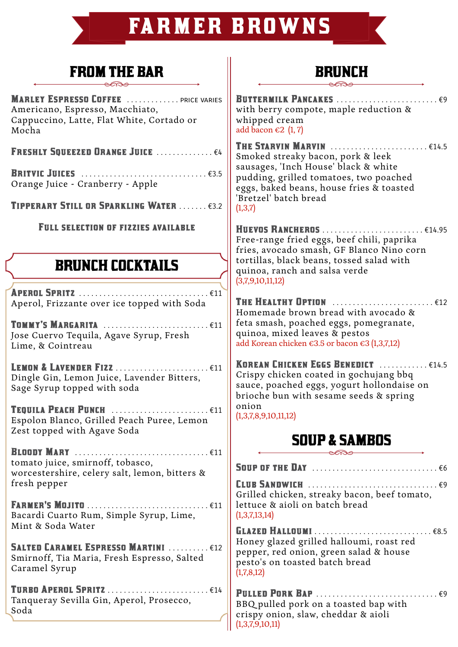# **FARMER BROWNS**

## FROM THE BAR

**MARLEY ESPRESSO COFFEE** ............. . . PRICE VARIES Americano, Espresso, Macchiato, Cappuccino, Latte, Flat White, Cortado or Mocha

FRESHLY SOUEEZED ORANGE JUICE . . . . . . . . . . . . . €4

Britvic Juices . . . . . . . . . . . . . . . . . . . . . . . . . . . . . . . €3.5 Orange Juice - Cranberry - Apple

Tipperary Still or Sparkling Water . . . . . . . €3.2

FULL SELECTION OF FIZZIES AVAILABLE

## BRUNCH COCKTAILS

Aperol Spritz . . . . . . . . . . . . . . . . . . . . . . . . . . . . . . . . €11 Aperol, Frizzante over ice topped with Soda

Tommy's Margarita . . . . . . . . . . . . . . . . . . . . . . . . . . €11 Jose Cuervo Tequila, Agave Syrup, Fresh Lime, & Cointreau

Lemon & Lavender Fizz . . . . . . . . . . . . . . . . . . . . . . . €11 Dingle Gin, Lemon Juice, Lavender Bitters, Sage Syrup topped with soda

TEQUILA PEACH PUNCH ............................ €11 Espolon Blanco, Grilled Peach Puree, Lemon Zest topped with Agave Soda

Bloody Mary . . . . . . . . . . . . . . . . . . . . . . . . . . . . . . . . . €11 tomato juice, smirnoff, tobasco, worcestershire, celery salt, lemon, bitters & fresh pepper

Farmer's Mojito . . . . . . . . . . . . . . . . . . . . . . . . . . . . . . €11 Bacardi Cuarto Rum, Simple Syrup, Lime, Mint & Soda Water

SALTED CARAMEL ESPRESSO MARTINI ........... €12 Smirnoff, Tia Maria, Fresh Espresso, Salted Caramel Syrup

Turbo Aperol Spritz . . . . . . . . . . . . . . . . . . . . . . . . . €14 Tanqueray Sevilla Gin, Aperol, Prosecco, Soda

## **BRUNCH**

Buttermilk Pancakes . . . . . . . . . . . . . . . . . . . . . . . . . €9 with berry compote, maple reduction & whipped cream add bacon  $\epsilon$ 2 (1, 7)

**THE STARVIN MARVIN** .........................€14.5 Smoked streaky bacon, pork & leek sausages, 'Inch House' black & white pudding, grilled tomatoes, two poached eggs, baked beans, house fries & toasted 'Bretzel' batch bread  $(1,3,7)$ 

Huevos Rancheros . . . . . . . . . . . . . . . . . . . . . . . . . €14.95 Free-range fried eggs, beef chili, paprika fries, avocado smash, GF Blanco Nino corn tortillas, black beans, tossed salad with quinoa, ranch and salsa verde (3,7,9,10,11,12)

THE HEALTHY OPTION ............................. €12 Homemade brown bread with avocado & feta smash, poached eggs, pomegranate, quinoa, mixed leaves & pestos add Korean chicken €3.5 or bacon €3 (1,3,7,12)

KOREAN CHICKEN EGGS BENEDICT ............. €14.5 Crispy chicken coated in gochujang bbq sauce, poached eggs, yogurt hollondaise on brioche bun with sesame seeds & spring onion

(1,3,7,8,9,10,11,12)

## SOUP & SAMBOS

Soup of the Day . . . . . . . . . . . . . . . . . . . . . . . . . . . . . . . €6 Club Sandwich . . . . . . . . . . . . . . . . . . . . . . . . . . . . . . . . €9 Grilled chicken, streaky bacon, beef tomato, lettuce & aioli on batch bread (1,3,7,13,14) Glazed Halloumi . . . . . . . . . . . . . . . . . . . . . . . . . . . . . €8.5 Honey glazed grilled halloumi, roast red pepper, red onion, green salad & house pesto's on toasted batch bread  $(1,7,8,12)$ 

Pulled Pork Bap . . . . . . . . . . . . . . . . . . . . . . . . . . . . . . €9 BBQ pulled pork on a toasted bap with crispy onion, slaw, cheddar & aioli (1,3,7,9,10,11)